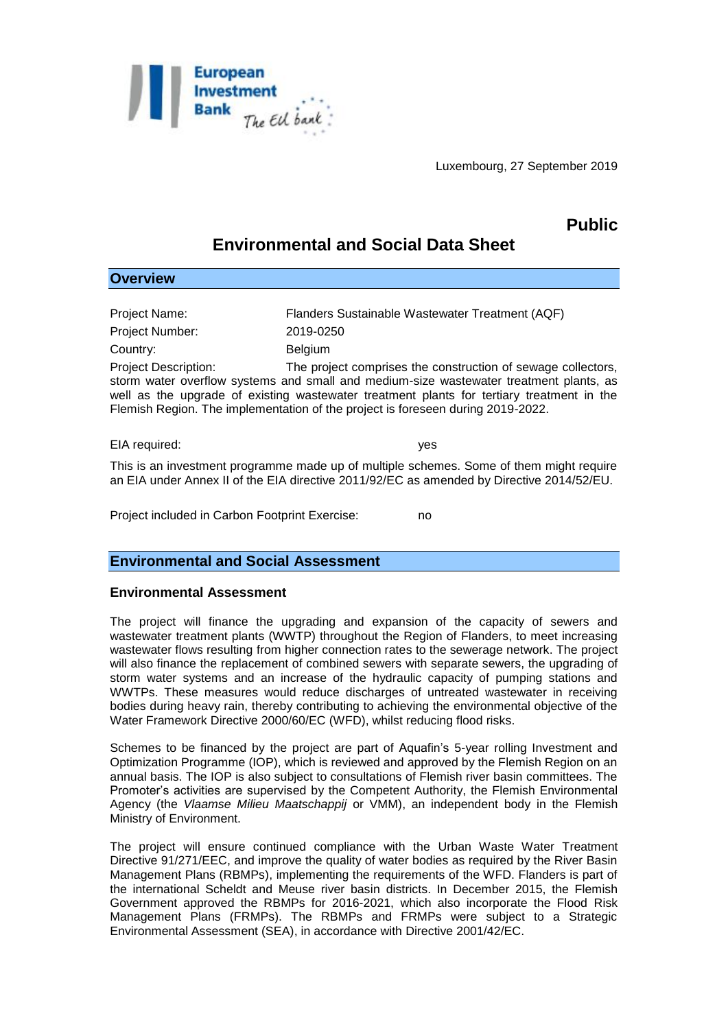

Luxembourg, 27 September 2019

## **Public**

# **Environmental and Social Data Sheet**

| <b>Overview</b>             |                                                                                                                                                                                                                                                                                                                                        |
|-----------------------------|----------------------------------------------------------------------------------------------------------------------------------------------------------------------------------------------------------------------------------------------------------------------------------------------------------------------------------------|
|                             |                                                                                                                                                                                                                                                                                                                                        |
| Project Name:               | Flanders Sustainable Wastewater Treatment (AQF)                                                                                                                                                                                                                                                                                        |
| Project Number:             | 2019-0250                                                                                                                                                                                                                                                                                                                              |
| Country:                    | <b>Belgium</b>                                                                                                                                                                                                                                                                                                                         |
| <b>Project Description:</b> | The project comprises the construction of sewage collectors,<br>storm water overflow systems and small and medium-size wastewater treatment plants, as<br>well as the upgrade of existing wastewater treatment plants for tertiary treatment in the<br>Flemish Region. The implementation of the project is foreseen during 2019-2022. |
| EIA required:               | yes                                                                                                                                                                                                                                                                                                                                    |
|                             | This is an investment programme made up of multiple schemes. Some of them might require                                                                                                                                                                                                                                                |

This is an investment programme made up of multiple schemes. Some of them might require an EIA under Annex II of the EIA directive 2011/92/EC as amended by Directive 2014/52/EU.

Project included in Carbon Footprint Exercise: no

### **Environmental and Social Assessment**

#### **Environmental Assessment**

The project will finance the upgrading and expansion of the capacity of sewers and wastewater treatment plants (WWTP) throughout the Region of Flanders, to meet increasing wastewater flows resulting from higher connection rates to the sewerage network. The project will also finance the replacement of combined sewers with separate sewers, the upgrading of storm water systems and an increase of the hydraulic capacity of pumping stations and WWTPs. These measures would reduce discharges of untreated wastewater in receiving bodies during heavy rain, thereby contributing to achieving the environmental objective of the Water Framework Directive 2000/60/EC (WFD), whilst reducing flood risks.

Schemes to be financed by the project are part of Aquafin's 5-year rolling Investment and Optimization Programme (IOP), which is reviewed and approved by the Flemish Region on an annual basis. The IOP is also subject to consultations of Flemish river basin committees. The Promoter's activities are supervised by the Competent Authority, the Flemish Environmental Agency (the *Vlaamse Milieu Maatschappij* or VMM), an independent body in the Flemish Ministry of Environment.

The project will ensure continued compliance with the Urban Waste Water Treatment Directive 91/271/EEC, and improve the quality of water bodies as required by the River Basin Management Plans (RBMPs), implementing the requirements of the WFD. Flanders is part of the international Scheldt and Meuse river basin districts. In December 2015, the Flemish Government approved the RBMPs for 2016-2021, which also incorporate the Flood Risk Management Plans (FRMPs). The RBMPs and FRMPs were subject to a Strategic Environmental Assessment (SEA), in accordance with Directive 2001/42/EC.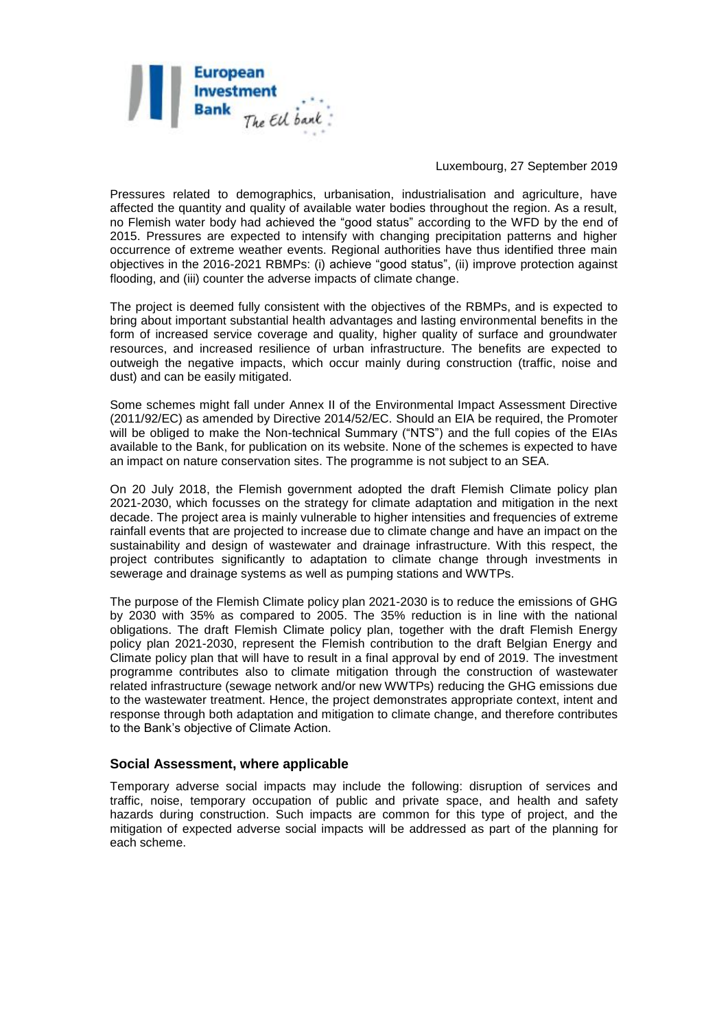

Luxembourg, 27 September 2019

Pressures related to demographics, urbanisation, industrialisation and agriculture, have affected the quantity and quality of available water bodies throughout the region. As a result, no Flemish water body had achieved the "good status" according to the WFD by the end of 2015. Pressures are expected to intensify with changing precipitation patterns and higher occurrence of extreme weather events. Regional authorities have thus identified three main objectives in the 2016-2021 RBMPs: (i) achieve "good status", (ii) improve protection against flooding, and (iii) counter the adverse impacts of climate change.

The project is deemed fully consistent with the objectives of the RBMPs, and is expected to bring about important substantial health advantages and lasting environmental benefits in the form of increased service coverage and quality, higher quality of surface and groundwater resources, and increased resilience of urban infrastructure. The benefits are expected to outweigh the negative impacts, which occur mainly during construction (traffic, noise and dust) and can be easily mitigated.

Some schemes might fall under Annex II of the Environmental Impact Assessment Directive (2011/92/EC) as amended by Directive 2014/52/EC. Should an EIA be required, the Promoter will be obliged to make the Non-technical Summary ("NTS") and the full copies of the EIAs available to the Bank, for publication on its website. None of the schemes is expected to have an impact on nature conservation sites. The programme is not subject to an SEA.

On 20 July 2018, the Flemish government adopted the draft Flemish Climate policy plan 2021-2030, which focusses on the strategy for climate adaptation and mitigation in the next decade. The project area is mainly vulnerable to higher intensities and frequencies of extreme rainfall events that are projected to increase due to climate change and have an impact on the sustainability and design of wastewater and drainage infrastructure. With this respect, the project contributes significantly to adaptation to climate change through investments in sewerage and drainage systems as well as pumping stations and WWTPs.

The purpose of the Flemish Climate policy plan 2021-2030 is to reduce the emissions of GHG by 2030 with 35% as compared to 2005. The 35% reduction is in line with the national obligations. The draft Flemish Climate policy plan, together with the draft Flemish Energy policy plan 2021-2030, represent the Flemish contribution to the draft Belgian Energy and Climate policy plan that will have to result in a final approval by end of 2019. The investment programme contributes also to climate mitigation through the construction of wastewater related infrastructure (sewage network and/or new WWTPs) reducing the GHG emissions due to the wastewater treatment. Hence, the project demonstrates appropriate context, intent and response through both adaptation and mitigation to climate change, and therefore contributes to the Bank's objective of Climate Action.

#### **Social Assessment, where applicable**

Temporary adverse social impacts may include the following: disruption of services and traffic, noise, temporary occupation of public and private space, and health and safety hazards during construction. Such impacts are common for this type of project, and the mitigation of expected adverse social impacts will be addressed as part of the planning for each scheme.